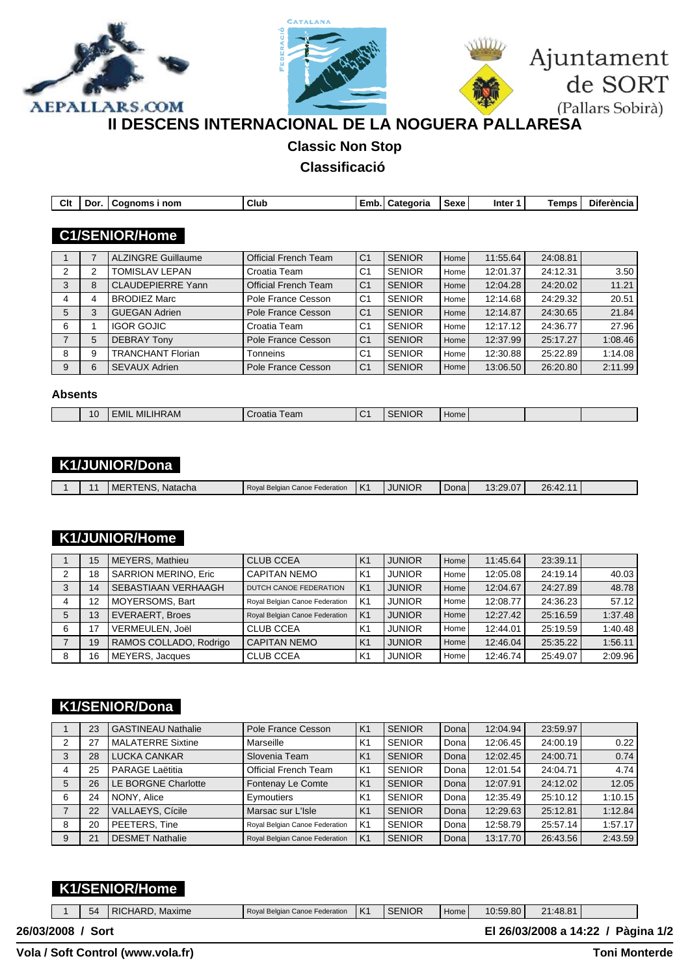





# **II DESCENS INTERNACIONAL DE LA NOGUERA PALLARESA**

# **Classic Non Stop**

#### **Classificació**

| Clt            | Dor. | Cognoms i nom             | Club                        |                | Emb. Categoria | Sexe | Inter 1  | <b>Temps</b> | <b>Diferència</b> |
|----------------|------|---------------------------|-----------------------------|----------------|----------------|------|----------|--------------|-------------------|
|                |      |                           |                             |                |                |      |          |              |                   |
|                |      | <b>C1/SENIOR/Home</b>     |                             |                |                |      |          |              |                   |
|                |      | <b>ALZINGRE Guillaume</b> | <b>Official French Team</b> | C <sub>1</sub> | <b>SENIOR</b>  | Home | 11:55.64 | 24:08.81     |                   |
| 2              | 2    | <b>TOMISLAV LEPAN</b>     | Croatia Team                | C1             | <b>SENIOR</b>  | Home | 12:01.37 | 24:12.31     | 3.50              |
| 3              | 8    | <b>CLAUDEPIERRE Yann</b>  | <b>Official French Team</b> | C <sub>1</sub> | <b>SENIOR</b>  | Home | 12:04.28 | 24:20.02     | 11.21             |
| 4              | 4    | <b>BRODIEZ Marc</b>       | Pole France Cesson          | C <sub>1</sub> | <b>SENIOR</b>  | Home | 12:14.68 | 24:29.32     | 20.51             |
| 5              | 3    | <b>GUEGAN Adrien</b>      | Pole France Cesson          | C <sub>1</sub> | <b>SENIOR</b>  | Home | 12:14.87 | 24:30.65     | 21.84             |
| 6              |      | <b>IGOR GOJIC</b>         | Croatia Team                | C <sub>1</sub> | <b>SENIOR</b>  | Home | 12:17.12 | 24:36.77     | 27.96             |
| $\overline{7}$ | 5    | <b>DEBRAY Tony</b>        | Pole France Cesson          | C <sub>1</sub> | <b>SENIOR</b>  | Home | 12:37.99 | 25:17.27     | 1:08.46           |
| 8              | 9    | <b>TRANCHANT Florian</b>  | Tonneins                    | C <sub>1</sub> | <b>SENIOR</b>  | Home | 12:30.88 | 25:22.89     | 1:14.08           |
| 9              | 6    | <b>SEVAUX Adrien</b>      | Pole France Cesson          | C <sub>1</sub> | <b>SENIOR</b>  | Home | 13:06.50 | 26:20.80     | 2:11.99           |
|                |      |                           |                             |                |                |      |          |              |                   |

#### **Absents**

| $\sim$                                                                                        |  |
|-----------------------------------------------------------------------------------------------|--|
| 10<br>.IHRAM<br>MIL<br>≡MII<br>NI.<br>--<br>Home<br>∩nm<br>atk<br><b>Call</b><br>__ _<br>____ |  |

### **K1/JUNIOR/Dona**

|  |  |  | ERTENS. Natacha<br>MEP | Roval Belgian Canoe Federation | $\overline{V}$<br>$\mathsf{A}$ | <b>JUNIOR</b> | Dona | $\sim$ $\sim$ $\sim$ $\sim$<br>7u<br><u>J.ZJ.U</u> | 26:42.1 |  |
|--|--|--|------------------------|--------------------------------|--------------------------------|---------------|------|----------------------------------------------------|---------|--|
|--|--|--|------------------------|--------------------------------|--------------------------------|---------------|------|----------------------------------------------------|---------|--|

#### **K1/JUNIOR/Home**

|   | 15 | <b>MEYERS, Mathieu</b> | <b>CLUB CCEA</b>               | K <sub>1</sub> | <b>JUNIOR</b> | Home I | 11:45.64 | 23:39.11 |         |
|---|----|------------------------|--------------------------------|----------------|---------------|--------|----------|----------|---------|
| 2 | 18 | SARRION MERINO, Eric   | I CAPITAN NEMO                 | K1             | <b>JUNIOR</b> | Home   | 12:05.08 | 24:19.14 | 40.03   |
| 3 | 14 | SEBASTIAAN VERHAAGH    | DUTCH CANOE FEDERATION         | K <sub>1</sub> | <b>JUNIOR</b> | Home I | 12:04.67 | 24:27.89 | 48.78   |
|   | 12 | MOYERSOMS, Bart        | Royal Belgian Canoe Federation | K <sub>1</sub> | <b>JUNIOR</b> | Home   | 12:08.77 | 24:36.23 | 57.12   |
| 5 | 13 | <b>EVERAERT, Broes</b> | Royal Belgian Canoe Federation | K <sub>1</sub> | <b>JUNIOR</b> | Home I | 12:27.42 | 25:16.59 | 1:37.48 |
| 6 | 17 | VERMEULEN, Joël        | <b>CLUB CCEA</b>               | .K1            | <b>JUNIOR</b> | Home   | 12:44.01 | 25:19.59 | 1:40.48 |
|   | 19 | RAMOS COLLADO, Rodrigo | <b>CAPITAN NEMO</b>            | K <sub>1</sub> | <b>JUNIOR</b> | Home I | 12:46.04 | 25:35.22 | 1:56.11 |
| 8 | 16 | <b>MEYERS, Jacques</b> | <b>CLUB CCEA</b>               | K <sub>1</sub> | <b>JUNIOR</b> | Home   | 12:46.74 | 25:49.07 | 2:09.96 |

## **K1/SENIOR/Dona**

|   | 23 | <b>GASTINEAU Nathalie</b>  | Pole France Cesson             | K <sub>1</sub> | <b>SENIOR</b> | Donal | 12:04.94 | 23:59.97 |         |
|---|----|----------------------------|--------------------------------|----------------|---------------|-------|----------|----------|---------|
| 2 | 27 | <b>MALATERRE Sixtine</b>   | Marseille                      | K <sub>1</sub> | <b>SENIOR</b> | Dona  | 12:06.45 | 24:00.19 | 0.22    |
| 3 | 28 | <b>LUCKA CANKAR</b>        | Slovenia Team                  | K <sub>1</sub> | <b>SENIOR</b> | Donal | 12:02.45 | 24:00.71 | 0.74    |
|   | 25 | PARAGE Laëtitia            | <b>Official French Team</b>    | K <sub>1</sub> | <b>SENIOR</b> | Dona  | 12:01.54 | 24:04.71 | 4.74    |
| 5 | 26 | <b>LE BORGNE Charlotte</b> | Fontenay Le Comte              | K <sub>1</sub> | <b>SENIOR</b> | Donal | 12:07.91 | 24:12.02 | 12.05   |
| 6 | 24 | NONY, Alice                | Eymoutiers                     | K <sub>1</sub> | <b>SENIOR</b> | Dona  | 12:35.49 | 25:10.12 | 1:10.15 |
|   | 22 | <b>VALLAEYS, Cícile</b>    | Marsac sur L'Isle              | K <sub>1</sub> | <b>SENIOR</b> | Donal | 12:29.63 | 25:12.81 | 1:12.84 |
| 8 | 20 | PEETERS, Tine              | Royal Belgian Canoe Federation | K <sub>1</sub> | <b>SENIOR</b> | Dona  | 12:58.79 | 25:57.14 | 1:57.17 |
| 9 | 21 | <b>DESMET Nathalie</b>     | Royal Belgian Canoe Federation | K <sub>1</sub> | <b>SENIOR</b> | Donal | 13:17.70 | 26:43.56 | 2:43.59 |

### **K1/SENIOR/Home**

|              | 54   | RICHARD, Maxime | Royal Belgian Canoe Federation | IK1 | l SENIOR | Home <sub>1</sub> | 10:59.80 | 21:48.81 |                                    |  |
|--------------|------|-----------------|--------------------------------|-----|----------|-------------------|----------|----------|------------------------------------|--|
| 26/03/2008 / | Sort |                 |                                |     |          |                   |          |          | El 26/03/2008 a 14:22 / Pàgina 1/2 |  |